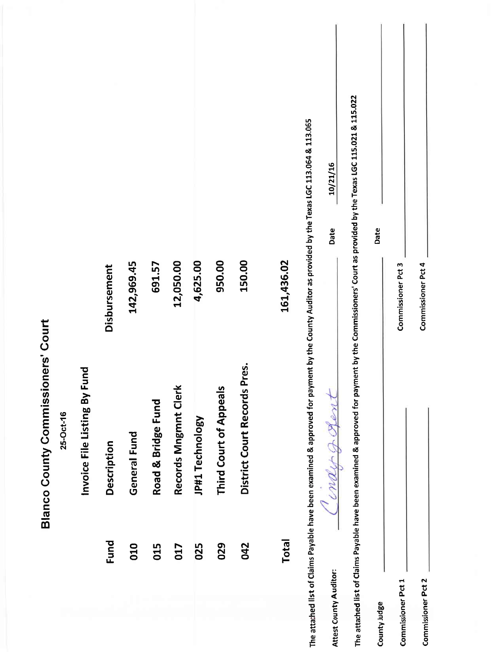|                                           |           |                              |              |              |                    |                      |                 |                               |                                 |              |                                                                                                                                                    | 10/21/16<br>Date       |                                                                                                                                                          | Date         |                    |                    |  |
|-------------------------------------------|-----------|------------------------------|--------------|--------------|--------------------|----------------------|-----------------|-------------------------------|---------------------------------|--------------|----------------------------------------------------------------------------------------------------------------------------------------------------|------------------------|----------------------------------------------------------------------------------------------------------------------------------------------------------|--------------|--------------------|--------------------|--|
|                                           |           |                              | Disbursement | 142,969.45   | 691.57             | 12,050.00            | 4,625.00        | 950.00                        | 150.00                          | 161,436.02   |                                                                                                                                                    |                        |                                                                                                                                                          |              | Commissioner Pct 3 | Commissioner Pct 4 |  |
| <b>Blanco County Commissioners' Court</b> | 25-Oct-16 | Invoice File Listing By Fund | Description  | General Fund | Road & Bridge Fund | Records Mngmnt Clerk | JP#1 Technology | <b>Third Court of Appeals</b> | Pres.<br>District Court Records |              | The attached list of Claims Payable have been examined & approved for payment by the County Auditor as provided by the Texas LGC 113.064 & 113.065 | Conder garant          | The attached list of Claims Payable have been examined & approved for payment by the Commissioners' Court as provided by the Texas LGC 115.021 & 115.022 |              |                    |                    |  |
|                                           |           |                              | Fund         | 010          | 015                | 017                  | 025             | 029                           | 042                             | <b>Total</b> |                                                                                                                                                    |                        |                                                                                                                                                          |              |                    |                    |  |
|                                           |           |                              |              |              |                    |                      |                 |                               |                                 |              |                                                                                                                                                    | Attest County Auditor: |                                                                                                                                                          | County Judge | Commissioner Pct 1 | Commissioner Pct 2 |  |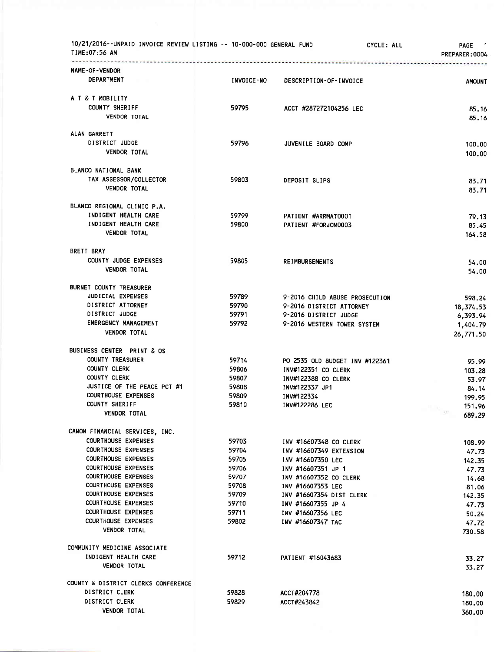| 10/21/2016--UNPAID INVOICE REVIEW LISTING -- 10-000-000 GENERAL FUND<br>TIME:07:56 AM                                                                                                                                                                                                                                                                      |                                                                                        |                                                                                                                                                                                                                                         | CYCLE: ALL | PAGE<br>$\overline{\phantom{1}}$<br>PREPARER:0004                                                   |
|------------------------------------------------------------------------------------------------------------------------------------------------------------------------------------------------------------------------------------------------------------------------------------------------------------------------------------------------------------|----------------------------------------------------------------------------------------|-----------------------------------------------------------------------------------------------------------------------------------------------------------------------------------------------------------------------------------------|------------|-----------------------------------------------------------------------------------------------------|
| <b>NAME-OF-VENDOR</b><br>DEPARTMENT                                                                                                                                                                                                                                                                                                                        | INVOICE-NO                                                                             | DESCRIPTION-OF-INVOICE                                                                                                                                                                                                                  |            | <b>AMOUNT</b>                                                                                       |
| A T & T MOBILITY<br><b>COUNTY SHERIFF</b><br><b>VENDOR TOTAL</b>                                                                                                                                                                                                                                                                                           | 59795                                                                                  | ACCT #287272104256 LEC                                                                                                                                                                                                                  |            | 85.16<br>85.16                                                                                      |
| ALAN GARRETT<br>DISTRICT JUDGE<br><b>VENDOR TOTAL</b>                                                                                                                                                                                                                                                                                                      | 59796                                                                                  | JUVENILE BOARD COMP                                                                                                                                                                                                                     |            | 100.00<br>100.00                                                                                    |
| BLANCO NATIONAL BANK<br>TAX ASSESSOR/COLLECTOR<br><b>VENDOR TOTAL</b>                                                                                                                                                                                                                                                                                      | 59803                                                                                  | DEPOSIT SLIPS                                                                                                                                                                                                                           |            | 83.71<br>83.71                                                                                      |
| BLANCO REGIONAL CLINIC P.A.<br>INDIGENT HEALTH CARE<br>INDIGENT HEALTH CARE<br><b>VENDOR TOTAL</b>                                                                                                                                                                                                                                                         | 59799<br>59800                                                                         | PATIENT #ARRMAT0001<br>PATIENT #FORJON0003                                                                                                                                                                                              |            | 79.13<br>85.45<br>164.58                                                                            |
| BRETT BRAY<br>COUNTY JUDGE EXPENSES<br><b>VENDOR TOTAL</b>                                                                                                                                                                                                                                                                                                 | 59805                                                                                  | <b>REIMBURSEMENTS</b>                                                                                                                                                                                                                   |            | 54.00<br>54.00                                                                                      |
| BURNET COUNTY TREASURER<br>JUDICIAL EXPENSES<br>DISTRICT ATTORNEY<br>DISTRICT JUDGE<br>EMERGENCY MANAGEMENT<br><b>VENDOR TOTAL</b>                                                                                                                                                                                                                         | 59789<br>59790<br>59791<br>59792                                                       | 9-2016 CHILD ABUSE PROSECUTION<br>9-2016 DISTRICT ATTORNEY<br>9-2016 DISTRICT JUDGE<br>9-2016 WESTERN TOWER SYSTEM                                                                                                                      |            | 598.24<br>18,374.53<br>6,393.94<br>1,404.79<br>26,771.50                                            |
| BUSINESS CENTER PRINT & OS<br>COUNTY TREASURER<br><b>COUNTY CLERK</b><br>COUNTY CLERK<br>JUSTICE OF THE PEACE PCT #1<br><b>COURTHOUSE EXPENSES</b><br><b>COUNTY SHERIFF</b><br><b>VENDOR TOTAL</b>                                                                                                                                                         | 59714<br>59806<br>59807<br>59808<br>59809<br>59810                                     | PO 2535 OLD BUDGET INV #122361<br>INV#122351 CO CLERK<br><b>INV#122388 CO CLERK</b><br>INV#122337 JP1<br>INV#122334<br>INV#122286 LEC                                                                                                   |            | 95.99<br>103.28<br>53.97<br>84.14<br>199.95<br>151.96<br>- 15<br>155<br>689.29                      |
| CANON FINANCIAL SERVICES, INC.<br><b>COURTHOUSE EXPENSES</b><br><b>COURTHOUSE EXPENSES</b><br><b>COURTHOUSE EXPENSES</b><br><b>COURTHOUSE EXPENSES</b><br><b>COURTHOUSE EXPENSES</b><br>COURTHOUSE EXPENSES<br><b>COURTHOUSE EXPENSES</b><br><b>COURTHOUSE EXPENSES</b><br><b>COURTHOUSE EXPENSES</b><br><b>COURTHOUSE EXPENSES</b><br><b>VENDOR TOTAL</b> | 59703<br>59704<br>59705<br>59706<br>59707<br>59708<br>59709<br>59710<br>59711<br>59802 | INV #16607348 CO CLERK<br>INV #16607349 EXTENSION<br>INV #16607350 LEC<br>INV #16607351 JP 1<br>INV #16607352 CO CLERK<br>INV #16607353 LEC<br>INV #16607354 DIST CLERK<br>INV #16607355 JP 4<br>INV #16607356 LEC<br>INV #16607347 TAC |            | 108.99<br>47.73<br>142.35<br>47.73<br>14.68<br>81.06<br>142.35<br>47.73<br>50.24<br>47.72<br>730.58 |
| COMMUNITY MEDICINE ASSOCIATE<br>INDIGENT HEALTH CARE<br><b>VENDOR TOTAL</b>                                                                                                                                                                                                                                                                                | 59712                                                                                  | PATIENT #16043683                                                                                                                                                                                                                       |            | 33.27<br>33.27                                                                                      |
| COUNTY & DISTRICT CLERKS CONFERENCE<br>DISTRICT CLERK<br>DISTRICT CLERK<br><b>VENDOR TOTAL</b>                                                                                                                                                                                                                                                             | 59828<br>59829                                                                         | ACCT#204778<br>ACCT#243842                                                                                                                                                                                                              |            | 180.00<br>180.00<br>360.00                                                                          |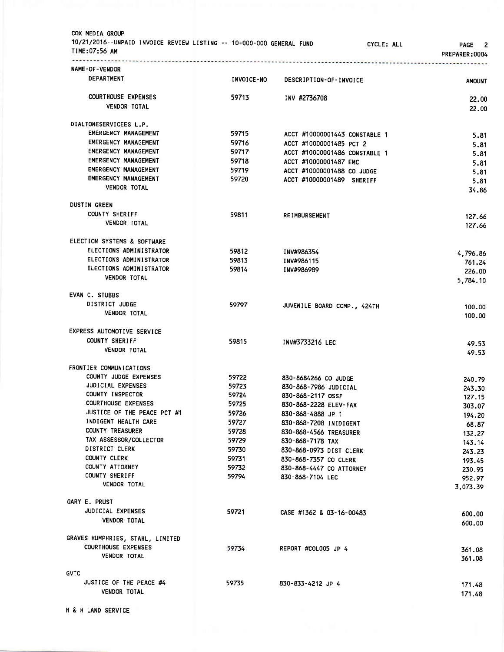| COX MEDIA GROUP<br>10/21/2016--UNPAID INVOICE REVIEW LISTING -- 10-000-000 GENERAL FUND<br>TIME:07:56 AM |                   | CYCLE: ALL                                  | PAGE 2<br>PREPARER: 0004 |
|----------------------------------------------------------------------------------------------------------|-------------------|---------------------------------------------|--------------------------|
| NAME-OF-VENDOR                                                                                           |                   |                                             |                          |
| DEPARTMENT                                                                                               | <b>INVOICE-NO</b> | DESCRIPTION-OF-INVOICE                      | <b>AMOUNT</b>            |
| <b>COURTHOUSE EXPENSES</b>                                                                               | 59713             | INV #2736708                                |                          |
| <b>VENDOR TOTAL</b>                                                                                      |                   |                                             | 22.00<br>22.00           |
| DIALTONESERVICEES L.P.                                                                                   |                   |                                             |                          |
| <b>EMERGENCY MANAGEMENT</b>                                                                              | 59715             | ACCT #10000001443 CONSTABLE 1               | 5.81                     |
| <b>EMERGENCY MANAGEMENT</b>                                                                              | 59716             | ACCT #10000001485 PCT 2                     | 5.81                     |
| <b>EMERGENCY MANAGEMENT</b>                                                                              | 59717             | ACCT #10000001486 CONSTABLE 1               | 5.81                     |
| EMERGENCY MANAGEMENT                                                                                     | 59718             | ACCT #10000001487 EMC                       | 5.81                     |
| <b>EMERGENCY MANAGEMENT</b>                                                                              | 59719             | ACCT #10000001488 CO JUDGE                  | 5.81                     |
| <b>EMERGENCY MANAGEMENT</b>                                                                              | 59720             | ACCT #10000001489 SHERIFF                   | 5.81                     |
| <b>VENDOR TOTAL</b>                                                                                      |                   |                                             | 34.86                    |
| <b>DUSTIN GREEN</b>                                                                                      |                   |                                             |                          |
| <b>COUNTY SHERIFF</b><br><b>VENDOR TOTAL</b>                                                             | 59811             | <b>REIMBURSEMENT</b>                        | 127.66                   |
|                                                                                                          |                   |                                             | 127.66                   |
| ELECTION SYSTEMS & SOFTWARE                                                                              |                   |                                             |                          |
| ELECTIONS ADMINISTRATOR                                                                                  | 59812             | INV#986354                                  | 4,796.86                 |
| ELECTIONS ADMINISTRATOR<br>ELECTIONS ADMINISTRATOR                                                       | 59813             | INV#986115                                  | 761.24                   |
| <b>VENDOR TOTAL</b>                                                                                      | 59814             | INV#986989                                  | 226,00                   |
|                                                                                                          |                   |                                             | 5,784.10                 |
| EVAN C. STUBBS                                                                                           |                   |                                             |                          |
| DISTRICT JUDGE                                                                                           | 59797             | JUVENILE BOARD COMP., 424TH                 | 100.00                   |
| <b>VENDOR TOTAL</b>                                                                                      |                   |                                             | 100.00                   |
| EXPRESS AUTOMOTIVE SERVICE                                                                               |                   |                                             |                          |
| <b>COUNTY SHERIFF</b>                                                                                    | 59815             | INV#3733216 LEC                             | 49.53                    |
| <b>VENDOR TOTAL</b>                                                                                      |                   |                                             | 49.53                    |
| FRONTIER COMMUNICATIONS                                                                                  |                   |                                             |                          |
| COUNTY JUDGE EXPENSES                                                                                    | 59722             | 830-8684266 CO JUDGE                        | 240.79                   |
| <b>JUDICIAL EXPENSES</b>                                                                                 | 59723             | 830-868-7986 JUDICIAL                       | 243.30                   |
| COUNTY INSPECTOR                                                                                         | 59724             | 830-868-2117 OSSF                           | 127.15                   |
| <b>COURTHOUSE EXPENSES</b><br>JUSTICE OF THE PEACE PCT #1                                                | 59725             | 830-868-2228 ELEV-FAX                       | 303.07                   |
| INDIGENT HEALTH CARE                                                                                     | 59726<br>59727    | 830-868-4888 JP 1<br>830-868-7208 INIDIGENT | 194.20                   |
| COUNTY TREASURER                                                                                         | 59728             | 830-868-4566 TREASURER                      | 68.87                    |
| TAX ASSESSOR/COLLECTOR                                                                                   | 59729             | 830-868-7178 TAX                            | 132.27<br>143.14         |
| DISTRICT CLERK                                                                                           | 59730             | 830-868-0973 DIST CLERK                     | 243.23                   |
| <b>COUNTY CLERK</b>                                                                                      | 59731             | 830-868-7357 CO CLERK                       | 193.45                   |
| COUNTY ATTORNEY                                                                                          | 59732             | 830-868-4447 CO ATTORNEY                    | 230.95                   |
| COUNTY SHERIFF                                                                                           | 59794             | 830-868-7104 LEC                            | 952.97                   |
| <b>VENDOR TOTAL</b>                                                                                      |                   |                                             | 3,073.39                 |
| GARY E. PRUST                                                                                            |                   |                                             |                          |
| JUDICIAL EXPENSES                                                                                        | 59721             | CASE #1362 & 03-16-00483                    | 600.00                   |
| <b>VENDOR TOTAL</b>                                                                                      |                   |                                             | 600.00                   |
| GRAVES HUMPHRIES, STAHL, LIMITED                                                                         |                   |                                             |                          |
| <b>COURTHOUSE EXPENSES</b>                                                                               | 59734             | REPORT #COL005 JP 4                         | 361.08                   |
| <b>VENDOR TOTAL</b>                                                                                      |                   |                                             | 361.08                   |
| <b>GVTC</b>                                                                                              |                   |                                             |                          |
| JUSTICE OF THE PEACE #4                                                                                  | 59735             | 830-833-4212 JP 4                           | 171.48                   |
| <b>VENDOR TOTAL</b>                                                                                      |                   |                                             | 171.48                   |
|                                                                                                          |                   |                                             |                          |
| H & H LAND SERVICE                                                                                       |                   |                                             |                          |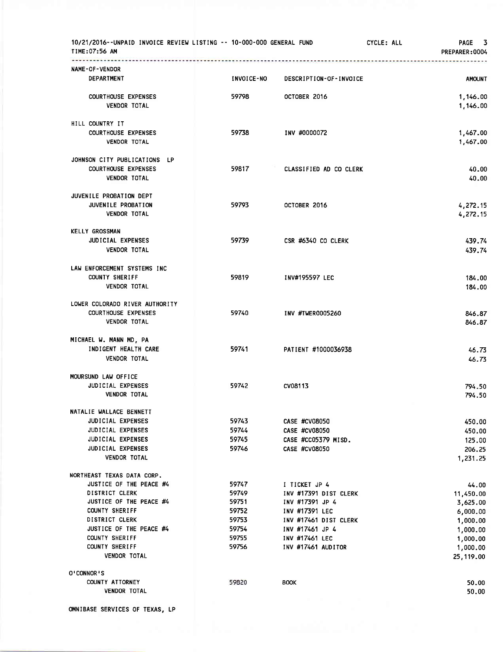| 10/21/2016--UNPAID INVOICE REVIEW LISTING -- 10-000-000 GENERAL FUND<br>TIME:07:56 AM |                   |                                          | CYCLE: ALL | PAGE 3<br>PREPARER: 0004 |
|---------------------------------------------------------------------------------------|-------------------|------------------------------------------|------------|--------------------------|
| <b>NAME-OF-VENDOR</b>                                                                 |                   |                                          |            |                          |
| <b>DEPARTMENT</b>                                                                     | <b>INVOICE-NO</b> | DESCRIPTION-OF-INVOICE                   |            | <b>AMOUNT</b>            |
| <b>COURTHOUSE EXPENSES</b>                                                            | 59798             | OCTOBER 2016                             |            | 1,146.00                 |
| <b>VENDOR TOTAL</b>                                                                   |                   |                                          |            | 1,146.00                 |
| HILL COUNTRY IT                                                                       |                   |                                          |            |                          |
| <b>COURTHOUSE EXPENSES</b><br><b>VENDOR TOTAL</b>                                     | 59738             | INV #0000072                             |            | 1,467.00<br>1,467.00     |
|                                                                                       |                   |                                          |            |                          |
| JOHNSON CITY PUBLICATIONS LP<br><b>COURTHOUSE EXPENSES</b>                            | 59817             | CLASSIFIED AD CO CLERK                   |            | 40.00                    |
| <b>VENDOR TOTAL</b>                                                                   |                   |                                          |            | 40.00                    |
| JUVENILE PROBATION DEPT                                                               |                   |                                          |            |                          |
| JUVENILE PROBATION                                                                    | 59793             | OCTOBER 2016                             |            | 4,272.15                 |
| <b>VENDOR TOTAL</b>                                                                   |                   |                                          |            | 4,272.15                 |
| <b>KELLY GROSSMAN</b>                                                                 |                   |                                          |            |                          |
| <b>JUDICIAL EXPENSES</b>                                                              | 59739             | CSR #6340 CO CLERK                       |            | 439.74                   |
| <b>VENDOR TOTAL</b>                                                                   |                   |                                          |            | 439.74                   |
| LAW ENFORCEMENT SYSTEMS INC                                                           |                   |                                          |            |                          |
| <b>COUNTY SHERIFF</b>                                                                 | 59819             | INV#195597 LEC                           |            | 184.00                   |
| <b>VENDOR TOTAL</b>                                                                   |                   |                                          |            | 184.00                   |
| LOWER COLORADO RIVER AUTHORITY                                                        |                   |                                          |            |                          |
| <b>COURTHOUSE EXPENSES</b><br><b>VENDOR TOTAL</b>                                     | 59740             | INV #TWER0005260                         |            | 846.87                   |
|                                                                                       |                   |                                          |            | 846.87                   |
| MICHAEL W. MANN MD, PA                                                                |                   |                                          |            |                          |
| INDIGENT HEALTH CARE                                                                  | 59741             | PATIENT #1000036938                      |            | 46.73                    |
| <b>VENDOR TOTAL</b>                                                                   |                   |                                          |            | 46.73                    |
| MOURSUND LAW OFFICE                                                                   |                   |                                          |            |                          |
| JUDICIAL EXPENSES<br><b>VENDOR TOTAL</b>                                              | 59742             | CV08113                                  |            | 794.50<br>794.50         |
|                                                                                       |                   |                                          |            |                          |
| NATALIE WALLACE BENNETT<br><b>JUDICIAL EXPENSES</b>                                   | 59743             | CASE #CV08050                            |            |                          |
| JUDICIAL EXPENSES                                                                     | 59744             | CASE #CV08050                            |            | 450.00<br>450.00         |
| <b>JUDICIAL EXPENSES</b>                                                              | 59745             | CASE #CC05379 MISD.                      |            | 125.00                   |
| <b>JUDICIAL EXPENSES</b>                                                              | 59746             | CASE #CV08050                            |            | 206.25                   |
| VENDOR TOTAL                                                                          |                   |                                          |            | 1,231.25                 |
| NORTHEAST TEXAS DATA CORP.                                                            |                   |                                          |            |                          |
| JUSTICE OF THE PEACE #4                                                               | 59747             | I TICKET JP 4                            |            | 44.00                    |
| <b>DISTRICT CLERK</b><br>JUSTICE OF THE PEACE #4                                      | 59749<br>59751    | INV #17391 DIST CLERK<br>INV #17391 JP 4 |            | 11,450.00                |
| <b>COUNTY SHERIFF</b>                                                                 | 59752             | INV #17391 LEC                           |            | 3,625.00<br>6,000.00     |
| <b>DISTRICT CLERK</b>                                                                 | 59753             | INV #17461 DIST CLERK                    |            | 1,000.00                 |
| JUSTICE OF THE PEACE #4                                                               | 59754             | INV #17461 JP 4                          |            | 1,000.00                 |
| COUNTY SHERIFF                                                                        | 59755             | INV #17461 LEC                           |            | 1,000.00                 |
| <b>COUNTY SHERIFF</b>                                                                 | 59756             | INV #17461 AUDITOR                       |            | 1,000.00                 |
| <b>VENDOR TOTAL</b>                                                                   |                   |                                          |            | 25, 119.00               |
| O'CONNOR'S                                                                            |                   |                                          |            |                          |
| COUNTY ATTORNEY                                                                       | 59820             | <b>BOOK</b>                              |            | 50.00                    |
| <b>VENDOR TOTAL</b>                                                                   |                   |                                          |            | 50.00                    |

oMNIBASE SERVICES 0F TEXAS, LP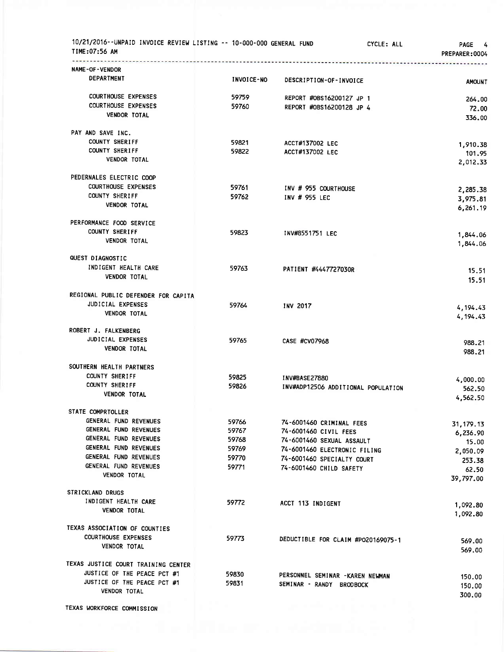| 10/21/2016--UNPAID INVOICE REVIEW LISTING -- 10-000-000 GENERAL FUND<br>TIME:07:56 AM |                   | CYCLE: ALL                                                  | PAGE 4<br>PREPARER: 0004 |
|---------------------------------------------------------------------------------------|-------------------|-------------------------------------------------------------|--------------------------|
| <b>NAME-OF-VENDOR</b>                                                                 |                   |                                                             |                          |
| DEPARTMENT                                                                            | <b>INVOICE-NO</b> | DESCRIPTION-OF-INVOICE                                      | <b>AMOUNT</b>            |
| <b>COURTHOUSE EXPENSES</b>                                                            | 59759             | REPORT #0BS16200127 JP 1                                    | 264.00                   |
| <b>COURTHOUSE EXPENSES</b>                                                            | 59760             | REPORT #0BS16200128 JP 4                                    | 72.00                    |
| <b>VENDOR TOTAL</b>                                                                   |                   |                                                             | 336.00                   |
|                                                                                       |                   |                                                             |                          |
| PAY AND SAVE INC.                                                                     |                   |                                                             |                          |
| COUNTY SHERIFF                                                                        | 59821             | ACCT#137002 LEC                                             | 1,910.38                 |
| <b>COUNTY SHERIFF</b><br><b>VENDOR TOTAL</b>                                          | 59822             | ACCT#137002 LEC                                             | 101.95                   |
|                                                                                       |                   |                                                             | 2,012.33                 |
| PEDERNALES ELECTRIC COOP                                                              |                   |                                                             |                          |
| <b>COURTHOUSE EXPENSES</b>                                                            | 59761             | INV # 955 COURTHOUSE                                        | 2,285.38                 |
| <b>COUNTY SHERIFF</b>                                                                 | 59762             | INV # 955 LEC                                               | 3,975.81                 |
| <b>VENDOR TOTAL</b>                                                                   |                   |                                                             | 6,261.19                 |
| PERFORMANCE FOOD SERVICE                                                              |                   |                                                             |                          |
| <b>COUNTY SHERIFF</b>                                                                 | 59823             | INV#8551751 LEC                                             |                          |
| <b>VENDOR TOTAL</b>                                                                   |                   |                                                             | 1,844.06<br>1,844.06     |
|                                                                                       |                   |                                                             |                          |
| QUEST DIAGNOSTIC                                                                      |                   |                                                             |                          |
| INDIGENT HEALTH CARE                                                                  | 59763             | PATIENT #4447727030R                                        | 15.51                    |
| <b>VENDOR TOTAL</b>                                                                   |                   |                                                             | 15.51                    |
| REGIONAL PUBLIC DEFENDER FOR CAPITA                                                   |                   |                                                             |                          |
| JUDICIAL EXPENSES                                                                     | 59764             | <b>INV 2017</b>                                             |                          |
| VENDOR TOTAL                                                                          |                   |                                                             | 4,194.43<br>4,194.43     |
|                                                                                       |                   |                                                             |                          |
| ROBERT J. FALKENBERG<br>JUDICIAL EXPENSES                                             |                   |                                                             |                          |
| <b>VENDOR TOTAL</b>                                                                   | 59765             | CASE #CV07968                                               | 988.21                   |
|                                                                                       |                   |                                                             | 988.21                   |
| SOUTHERN HEALTH PARTNERS                                                              |                   |                                                             |                          |
| <b>COUNTY SHERIFF</b>                                                                 | 59825             | <b>INV#BASE27880</b>                                        | 4,000.00                 |
| <b>COUNTY SHERIFF</b>                                                                 | 59826             | INV#ADP12506 ADDITIONAL POPULATION                          | 562.50                   |
| <b>VENDOR TOTAL</b>                                                                   |                   |                                                             | 4,562.50                 |
| STATE COMPRTOLLER                                                                     |                   |                                                             |                          |
| GENERAL FUND REVENUES                                                                 | 59766             | 74-6001460 CRIMINAL FEES                                    |                          |
| GENERAL FUND REVENUES                                                                 | 59767             | 74-6001460 CIVIL FEES                                       | 31, 179. 13              |
| GENERAL FUND REVENUES                                                                 | 59768             | 74-6001460 SEXUAL ASSAULT                                   | 6,236.90<br>15.00        |
| GENERAL FUND REVENUES                                                                 | 59769             | 74-6001460 ELECTRONIC FILING                                |                          |
| GENERAL FUND REVENUES                                                                 | 59770             | 74-6001460 SPECIALTY COURT                                  | 2,050.09                 |
| GENERAL FUND REVENUES                                                                 | 59771             | 74-6001460 CHILD SAFETY                                     | 253.38<br>62.50          |
| <b>VENDOR TOTAL</b>                                                                   |                   |                                                             | 39,797.00                |
|                                                                                       |                   |                                                             |                          |
| <b>STRICKLAND DRUGS</b><br>INDIGENT HEALTH CARE                                       |                   |                                                             |                          |
| <b>VENDOR TOTAL</b>                                                                   | 59772             | ACCT 113 INDIGENT                                           | 1,092.80                 |
|                                                                                       |                   |                                                             | 1,092.80                 |
| TEXAS ASSOCIATION OF COUNTIES                                                         |                   |                                                             |                          |
| <b>COURTHOUSE EXPENSES</b>                                                            | 59773             | DEDUCTIBLE FOR CLAIM #PO20169075-1                          | 569.00                   |
| <b>VENDOR TOTAL</b>                                                                   |                   |                                                             | 569.00                   |
| TEXAS JUSTICE COURT TRAINING CENTER                                                   |                   |                                                             |                          |
| JUSTICE OF THE PEACE PCT #1                                                           | 59830             |                                                             |                          |
| JUSTICE OF THE PEACE PCT #1                                                           | 59831             | PERSONNEL SEMINAR -KAREN NEWMAN<br>SEMINAR - RANDY BRODBOCK | 150.00                   |
| <b>VENDOR TOTAL</b>                                                                   |                   |                                                             | 150.00                   |
|                                                                                       |                   |                                                             | 300.00                   |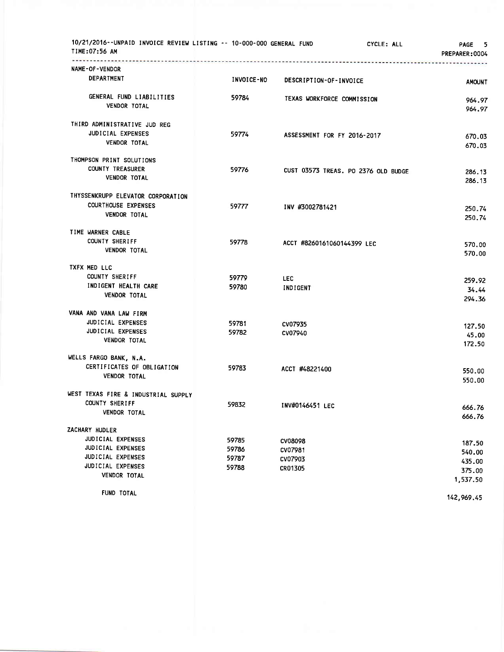| 10/21/2016--UNPAID INVOICE REVIEW LISTING -- 10-000-000 GENERAL FUND<br>TIME:07:56 AM |            |                                     | CYCLE: ALL | - 5<br><b>PAGE</b><br>PREPARER:0004 |
|---------------------------------------------------------------------------------------|------------|-------------------------------------|------------|-------------------------------------|
| NAME-OF-VENDOR                                                                        |            |                                     |            |                                     |
| DEPARTMENT                                                                            | INVOICE-NO | DESCRIPTION-OF-INVOICE              |            | <b>AMOUNT</b>                       |
| GENERAL FUND LIABILITIES                                                              | 59784      | TEXAS WORKFORCE COMMISSION          |            | 964.97                              |
| <b>VENDOR TOTAL</b>                                                                   |            |                                     |            | 964.97                              |
| THIRD ADMINISTRATIVE JUD REG                                                          |            |                                     |            |                                     |
| JUDICIAL EXPENSES                                                                     | 59774      | ASSESSMENT FOR FY 2016-2017         |            | 670.03                              |
| <b>VENDOR TOTAL</b>                                                                   |            |                                     |            | 670.03                              |
| THOMPSON PRINT SOLUTIONS                                                              |            |                                     |            |                                     |
| <b>COUNTY TREASURER</b>                                                               | 59776      | CUST 03573 TREAS. PO 2376 OLD BUDGE |            | 286.13                              |
| <b>VENDOR TOTAL</b>                                                                   |            |                                     |            | 286.13                              |
| THYSSENKRUPP ELEVATOR CORPORATION                                                     |            |                                     |            |                                     |
| <b>COURTHOUSE EXPENSES</b>                                                            | 59777      | INV #3002781421                     |            | 250.74                              |
| <b>VENDOR TOTAL</b>                                                                   |            |                                     |            | 250.74                              |
| TIME WARNER CABLE                                                                     |            |                                     |            |                                     |
| COUNTY SHERIFF                                                                        | 59778      | ACCT #8260161060144399 LEC          |            | 570.00                              |
| <b>VENDOR TOTAL</b>                                                                   |            |                                     |            | 570.00                              |
| <b>TXFX MED LLC</b>                                                                   |            |                                     |            |                                     |
| COUNTY SHERIFF                                                                        | 59779      | <b>LEC</b>                          |            | 259.92                              |
| INDIGENT HEALTH CARE                                                                  | 59780      | INDIGENT                            |            | 34.44                               |
| VENDOR TOTAL                                                                          |            |                                     |            | 294.36                              |
| VANA AND VANA LAW FIRM                                                                |            |                                     |            |                                     |
| JUDICIAL EXPENSES                                                                     | 59781      | CV07935                             |            | 127.50                              |
| JUDICIAL EXPENSES                                                                     | 59782      | CV07940                             |            | 45.00                               |
| VENDOR TOTAL                                                                          |            |                                     |            | 172.50                              |
| WELLS FARGO BANK, N.A.                                                                |            |                                     |            |                                     |
| CERTIFICATES OF OBLIGATION                                                            | 59783      | ACCT #48221400                      |            | 550.00                              |
| <b>VENDOR TOTAL</b>                                                                   |            |                                     |            | 550.00                              |
| WEST TEXAS FIRE & INDUSTRIAL SUPPLY                                                   |            |                                     |            |                                     |
| COUNTY SHERIFF                                                                        | 59832      | INV#0146451 LEC                     |            | 666.76                              |
| <b>VENDOR TOTAL</b>                                                                   |            |                                     |            | 666.76                              |
| ZACHARY HUDLER                                                                        |            |                                     |            |                                     |
| JUDICIAL EXPENSES                                                                     | 59785      | CV08098                             |            | 187.50                              |
| JUDICIAL EXPENSES                                                                     | 59786      | CV07981                             |            | 540.00                              |
| JUDICIAL EXPENSES                                                                     | 59787      | CV07903                             |            | 435.00                              |
| JUDICIAL EXPENSES<br><b>VENDOR TOTAL</b>                                              | 59788      | CR01305                             |            | 375.00                              |
|                                                                                       |            |                                     |            | 1,537.50                            |
| FUND TOTAL                                                                            |            |                                     |            | 142,969.45                          |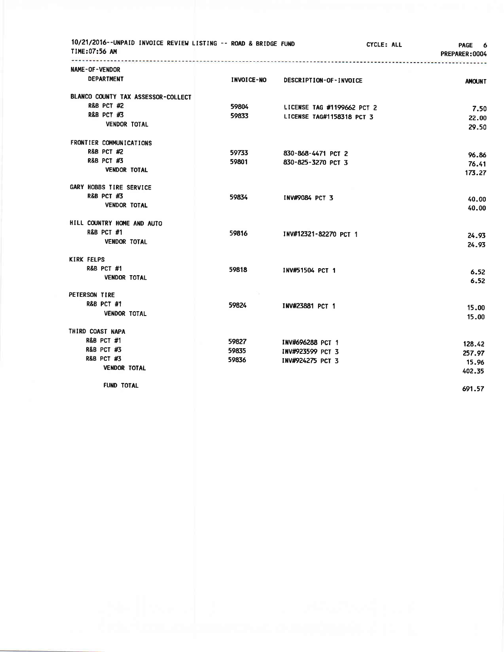| 10/21/2016--UNPAID INVOICE REVIEW LISTING -- ROAD & BRIDGE FUND<br>TIME:07:56 AM |                   |                            | CYCLE: ALL<br>PAGE 6<br>PREPARER: 0004 |
|----------------------------------------------------------------------------------|-------------------|----------------------------|----------------------------------------|
| NAME-OF-VENDOR                                                                   |                   |                            |                                        |
| <b>DEPARTMENT</b>                                                                | <b>INVOICE-NO</b> | DESCRIPTION-OF-INVOICE     | <b>AMOUNT</b>                          |
| BLANCO COUNTY TAX ASSESSOR-COLLECT                                               |                   |                            |                                        |
| <b>R&amp;B PCT #2</b>                                                            | 59804             | LICENSE TAG #1199662 PCT 2 | 7.50                                   |
| <b>R&amp;B PCT #3</b>                                                            | 59833             | LICENSE TAG#1158318 PCT 3  | 22.00                                  |
| <b>VENDOR TOTAL</b>                                                              |                   |                            | 29.50                                  |
| FRONTIER COMMUNICATIONS                                                          |                   |                            |                                        |
| <b>R&amp;B PCT #2</b>                                                            | 59733             | 830-868-4471 PCT 2         | 96.86                                  |
| <b>R&amp;B PCT #3</b>                                                            | 59801             | 830-825-3270 PCT 3         | 76.41                                  |
| <b>VENDOR TOTAL</b>                                                              |                   |                            | 173.27                                 |
| GARY HOBBS TIRE SERVICE                                                          |                   |                            |                                        |
| <b>R&amp;B PCT #3</b>                                                            | 59834             | INV#9084 PCT 3             | 40.00                                  |
| <b>VENDOR TOTAL</b>                                                              |                   |                            | 40.00                                  |
| HILL COUNTRY HOME AND AUTO                                                       |                   |                            |                                        |
| <b>R&amp;B PCT #1</b>                                                            | 59816             | INV#12321-82270 PCT 1      | 24.93                                  |
| <b>VENDOR TOTAL</b>                                                              |                   |                            | 24.93                                  |
| <b>KIRK FELPS</b>                                                                |                   |                            |                                        |
| <b>R&amp;B PCT #1</b>                                                            | 59818             | INV#51504 PCT 1            | 6.52                                   |
| <b>VENDOR TOTAL</b>                                                              |                   |                            | 6.52                                   |
| PETERSON TIRE                                                                    |                   |                            |                                        |
| <b>R&amp;B PCT #1</b>                                                            | 59824             | INV#23881 PCT 1            | 15.00                                  |
| <b>VENDOR TOTAL</b>                                                              |                   |                            | 15.00                                  |
| THIRD COAST NAPA                                                                 |                   |                            |                                        |
| <b>R&amp;B PCT #1</b>                                                            | 59827             | INV#696288 PCT 1           | 128.42                                 |
| <b>R&amp;B PCT #3</b>                                                            | 59835             | INV#923599 PCT 3           | 257.97                                 |
| <b>R&amp;B PCT #3</b>                                                            | 59836             | INV#924275 PCT 3           | 15.96                                  |
| <b>VENDOR TOTAL</b>                                                              |                   |                            | 402.35                                 |
| <b>FUND TOTAL</b>                                                                |                   |                            | 691.57                                 |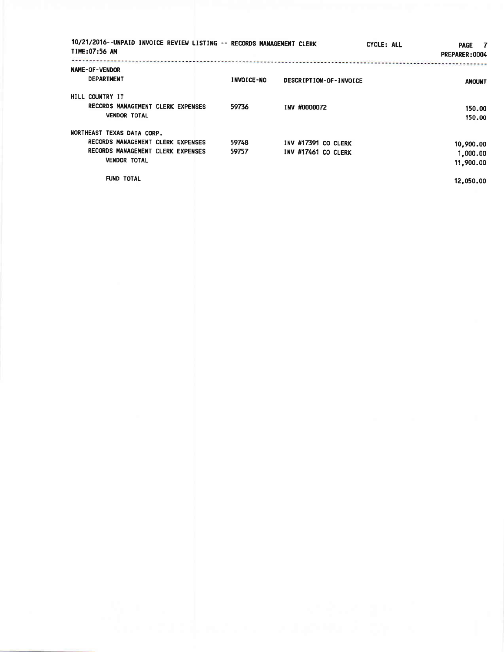| 10/21/2016--UNPAID INVOICE REVIEW LISTING -- RECORDS MANAGEMENT CLERK<br>TIME: 07:56 AM |            |                        | CYCLE: ALL | $\overline{7}$<br><b>PAGE</b><br>PREPARER: 0004 |
|-----------------------------------------------------------------------------------------|------------|------------------------|------------|-------------------------------------------------|
| NAME-OF-VENDOR<br><b>DEPARTMENT</b>                                                     | INVOICE-NO | DESCRIPTION-OF-INVOICE |            | <b>AMOUNT</b>                                   |
| HILL COUNTRY IT                                                                         |            |                        |            |                                                 |
| RECORDS MANAGEMENT CLERK EXPENSES                                                       | 59736      | INV #0000072           |            | 150.00                                          |
| <b>VENDOR TOTAL</b>                                                                     |            |                        |            | 150.00                                          |
| NORTHEAST TEXAS DATA CORP.                                                              |            |                        |            |                                                 |
| RECORDS MANAGEMENT CLERK EXPENSES                                                       | 59748      | INV #17391 CO CLERK    |            | 10,900.00                                       |
| RECORDS MANAGEMENT CLERK EXPENSES                                                       | 59757      | INV #17461 CO CLERK    |            | 1,000.00                                        |
| <b>VENDOR TOTAL</b>                                                                     |            |                        |            | 11,900.00                                       |
| <b>FUND TOTAL</b>                                                                       |            |                        |            | 12,050.00                                       |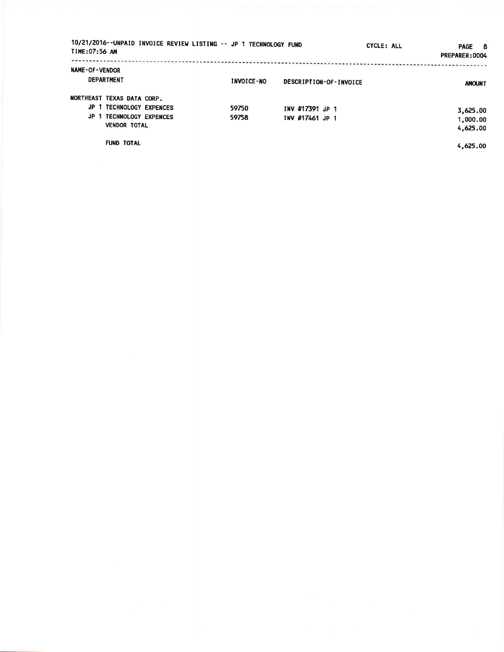| 10/21/2016--UNPAID INVOICE REVIEW LISTING -- JP 1 TECHNOLOGY FUND<br>TIME:07:56 AM                                                  |                   | CYCLE: ALL                         | <b>PAGE</b><br>- 8<br>PREPARER: 0004         |
|-------------------------------------------------------------------------------------------------------------------------------------|-------------------|------------------------------------|----------------------------------------------|
| <b>NAME-OF-VENDOR</b><br><b>DEPARTMENT</b>                                                                                          | <b>INVOICE-NO</b> | DESCRIPTION-OF-INVOICE             | <b>AMOUNT</b>                                |
| NORTHEAST TEXAS DATA CORP.<br>JP<br>TECHNOLOGY EXPENCES<br>JP.<br>1 TECHNOLOGY EXPENCES<br><b>VENDOR TOTAL</b><br><b>FUND TOTAL</b> | 59750<br>59758    | INV #17391 JP 1<br>INV #17461 JP 1 | 3,625.00<br>1,000.00<br>4,625,00<br>4,625.00 |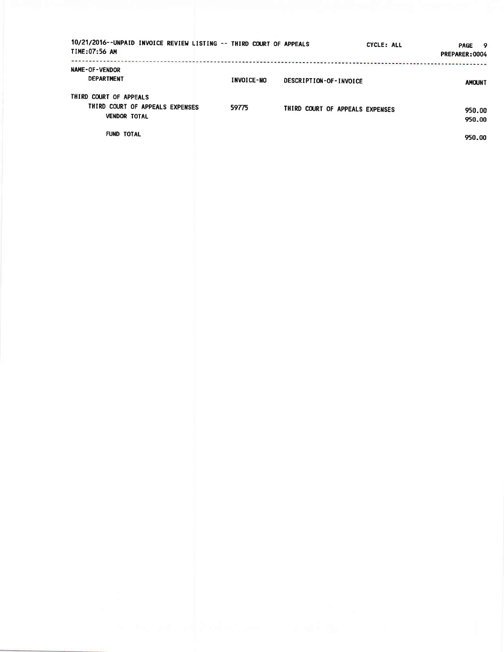| 10/21/2016--UNPAID INVOICE REVIEW LISTING -- THIRD COURT OF APPEALS<br>TIME:07:56 AM |                   |                                 | CYCLE: ALL<br><b>PAGE</b><br>- 9<br>PREPARER: 0004 |
|--------------------------------------------------------------------------------------|-------------------|---------------------------------|----------------------------------------------------|
| NAME-OF-VENDOR<br><b>DEPARTMENT</b><br>THIRD COURT OF APPEALS                        | <b>INVOICE-NO</b> | DESCRIPTION-OF-INVOICE          | <b>AMOUNT</b>                                      |
| THIRD COURT OF APPEALS EXPENSES<br><b>VENDOR TOTAL</b>                               | 59775             | THIRD COURT OF APPEALS EXPENSES | 950.00<br>950.00                                   |
| <b>FUND TOTAL</b>                                                                    |                   |                                 | 950.00                                             |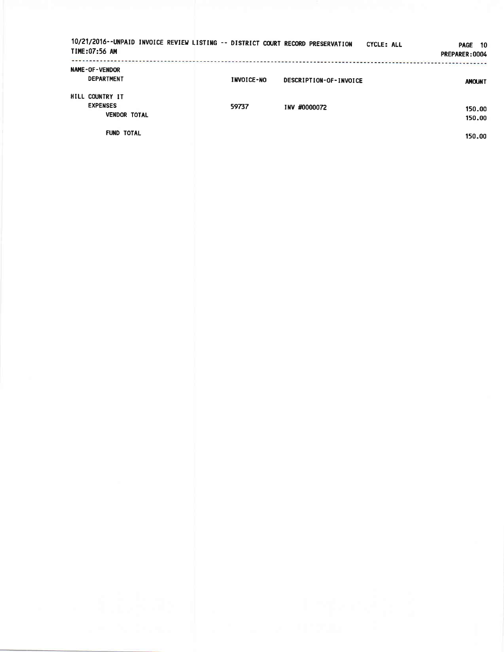| 10/21/2016--UNPAID INVOICE REVIEW LISTING -- DISTRICT COURT RECORD PRESERVATION<br>TIME:07:56 AM |                   |                        | CYCLE: ALL<br>10<br><b>PAGE</b><br>PREPARER: 0004 |
|--------------------------------------------------------------------------------------------------|-------------------|------------------------|---------------------------------------------------|
| <b>NAME-OF-VENDOR</b><br><b>DEPARTMENT</b>                                                       | <b>INVOICE-NO</b> | DESCRIPTION-OF-INVOICE | <b>AMOUNT</b>                                     |
| HILL COUNTRY IT<br><b>EXPENSES</b><br><b>VENDOR TOTAL</b>                                        | 59737             | INV #0000072           | 150.00<br>150.00                                  |
| <b>FUND TOTAL</b>                                                                                |                   |                        | 150.00                                            |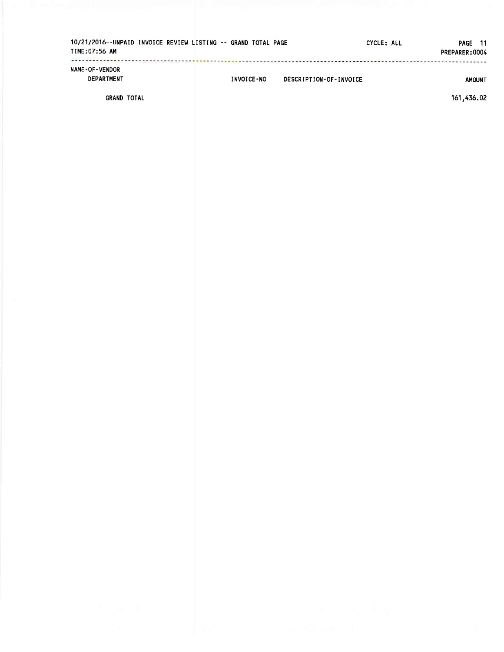| 10/21/2016--UNPAID INVOICE REVIEW LISTING -- GRAND TOTAL PAGE<br>TIME:07:56 AM |  |            |                        | CYCLE: ALL | PAGE 11<br>PREPARER: 0004 |
|--------------------------------------------------------------------------------|--|------------|------------------------|------------|---------------------------|
| <b>NAME-OF-VENDOR</b><br><b>DEPARTMENT</b>                                     |  | INVOICE-NO | DESCRIPTION-OF-INVOICE |            | <b>AMOUNT</b>             |
|                                                                                |  |            |                        |            | 111 171 00                |

**GRAND TOTAL** 

161,436.02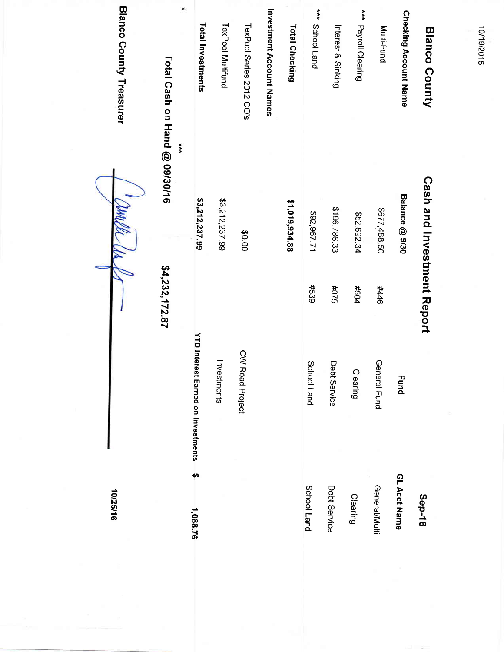| 10/25/16              |                                           |                |                                   | <b>Blanco County Treasurer</b>     |
|-----------------------|-------------------------------------------|----------------|-----------------------------------|------------------------------------|
|                       |                                           | \$4,232,172.87 | ****                              | *<br>Total Cash on Hand @ 09/30/16 |
| $\bullet$<br>1,088.76 | <b>YTD Interest Earned on Investments</b> |                | \$3,212,237.99                    | <b>Total Investments</b>           |
|                       | Investments                               |                | \$3,212,237.99                    | <b>TexPool Multifund</b>           |
|                       | <b>CWI</b><br>Road Project                |                | 00.0\$                            | TexPool Series 2012 CO's           |
|                       |                                           |                |                                   | Investment Account Names           |
|                       |                                           |                | \$1,019,934.88                    | <b>Total Checking</b>              |
| School Land           | School Land                               | #539           | \$92,967.71                       | *** School Land                    |
| Debt Service          | Debt Service                              | \$2.0#         | \$196,786.33                      | Interest & Sinking                 |
| Clearing              | Clearing                                  | #504           | \$52,692.34                       | *** Payroll Clearing               |
| General/Multi         | General Fund                              | 944#           | \$677,488.50                      | Multi-Fund                         |
| GL Acct Name          | <b>Fund</b>                               |                | Balance @ 9/30                    | <b>Checking Account Name</b>       |
| Sep-16                |                                           |                | <b>Cash and Investment Report</b> | <b>Blanco County</b>               |
|                       |                                           |                |                                   |                                    |

10/19/2016